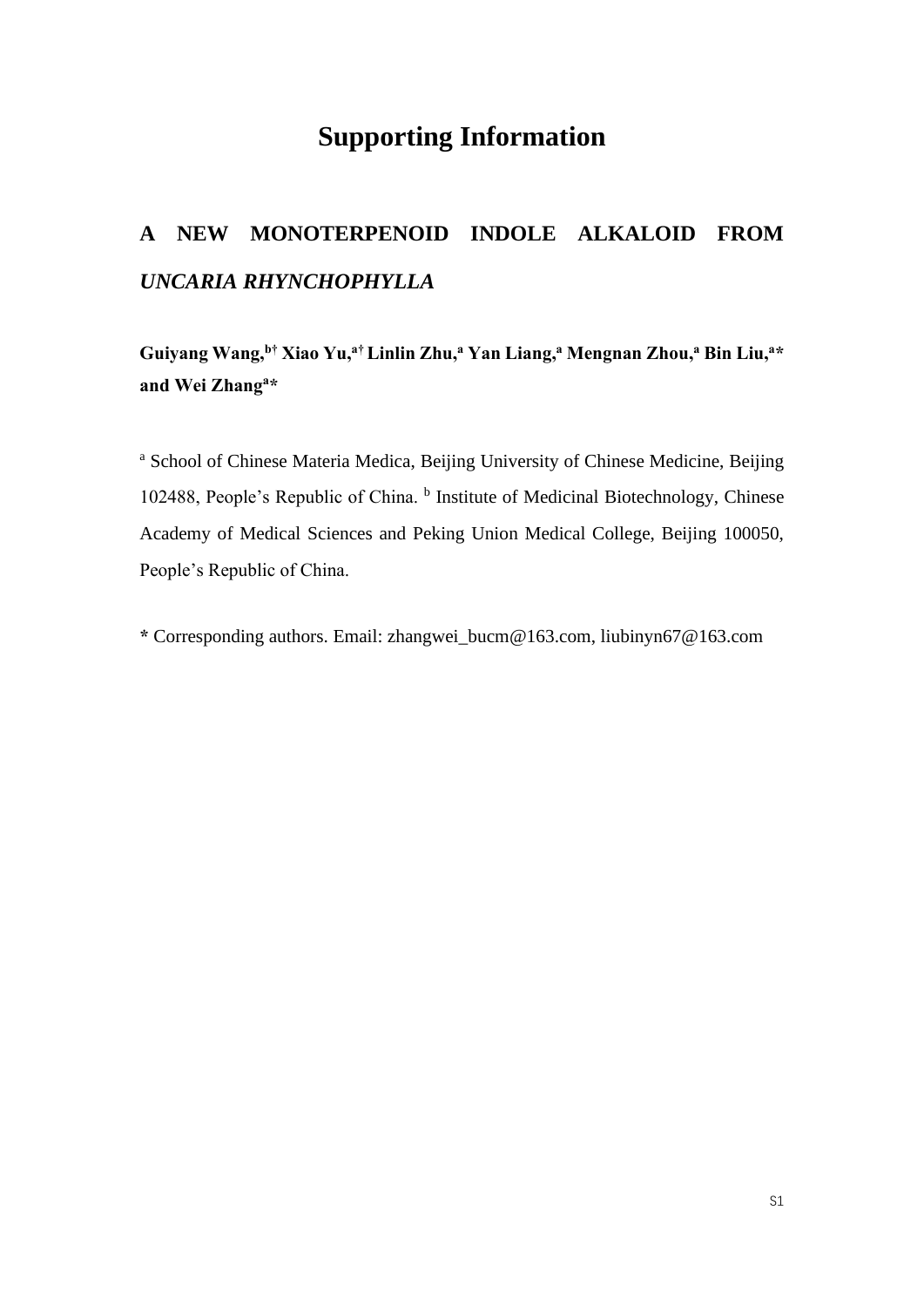## **Supporting Information**

## **A NEW MONOTERPENOID INDOLE ALKALOID FROM**  *UNCARIA RHYNCHOPHYLLA*

**Guiyang Wang,<sup>b</sup>† Xiao Yu, <sup>a</sup>†Linlin Zhu,<sup>a</sup> Yan Liang, <sup>a</sup> Mengnan Zhou,<sup>a</sup> Bin Liu,<sup>a</sup>\* and Wei Zhang<sup>a</sup>\***

<sup>a</sup> School of Chinese Materia Medica, Beijing University of Chinese Medicine, Beijing 102488, People's Republic of China. <sup>b</sup> Institute of Medicinal Biotechnology, Chinese Academy of Medical Sciences and Peking Union Medical College, Beijing 100050, People's Republic of China.

**\*** Corresponding authors. Email: zhangwei\_bucm@163.com, liubinyn67@163.com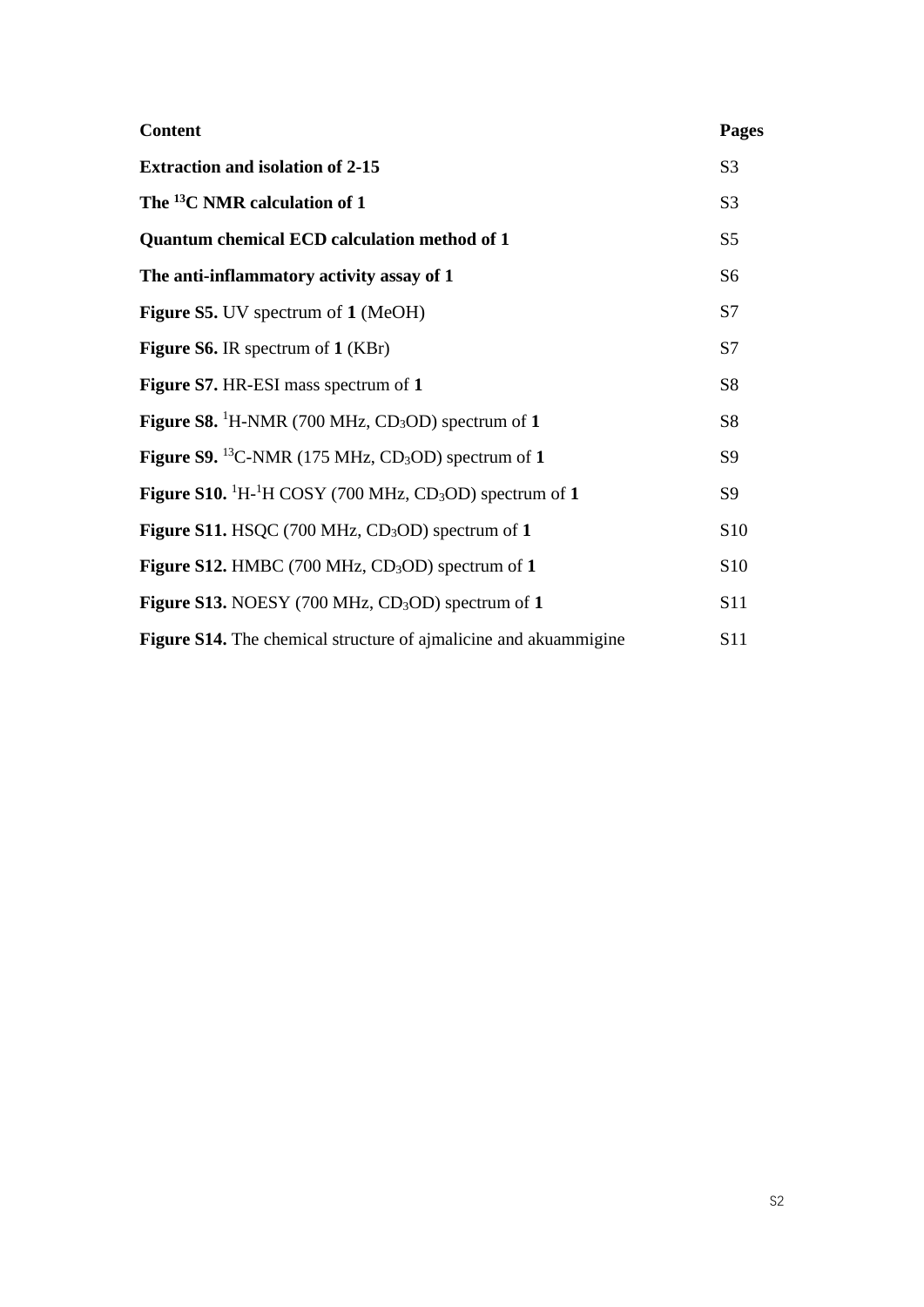| <b>Content</b>                                                                        | Pages          |
|---------------------------------------------------------------------------------------|----------------|
| <b>Extraction and isolation of 2-15</b>                                               | S <sub>3</sub> |
| The <sup>13</sup> C NMR calculation of 1                                              | S <sub>3</sub> |
| <b>Quantum chemical ECD calculation method of 1</b>                                   | S <sub>5</sub> |
| The anti-inflammatory activity assay of 1                                             | S <sub>6</sub> |
| Figure S5. UV spectrum of 1 (MeOH)                                                    | S7             |
| <b>Figure S6.</b> IR spectrum of 1 (KBr)                                              | S7             |
| Figure S7. HR-ESI mass spectrum of 1                                                  | S <sub>8</sub> |
| <b>Figure S8.</b> <sup>1</sup> H-NMR (700 MHz, CD <sub>3</sub> OD) spectrum of 1      | <b>S8</b>      |
| Figure S9. <sup>13</sup> C-NMR (175 MHz, CD <sub>3</sub> OD) spectrum of 1            | S <sub>9</sub> |
| Figure S10. ${}^{1}H$ <sup>1</sup> H COSY (700 MHz, CD <sub>3</sub> OD) spectrum of 1 | S <sub>9</sub> |
| Figure S11. HSQC $(700 \text{ MHz}, \text{CD}_3\text{OD})$ spectrum of 1              | S10            |
| Figure S12. HMBC (700 MHz, CD <sub>3</sub> OD) spectrum of 1                          | S10            |
| <b>Figure S13.</b> NOESY (700 MHz, $CD_3OD$ ) spectrum of 1                           | S11            |
| <b>Figure S14.</b> The chemical structure of ajmalicine and akuammigine               | S11            |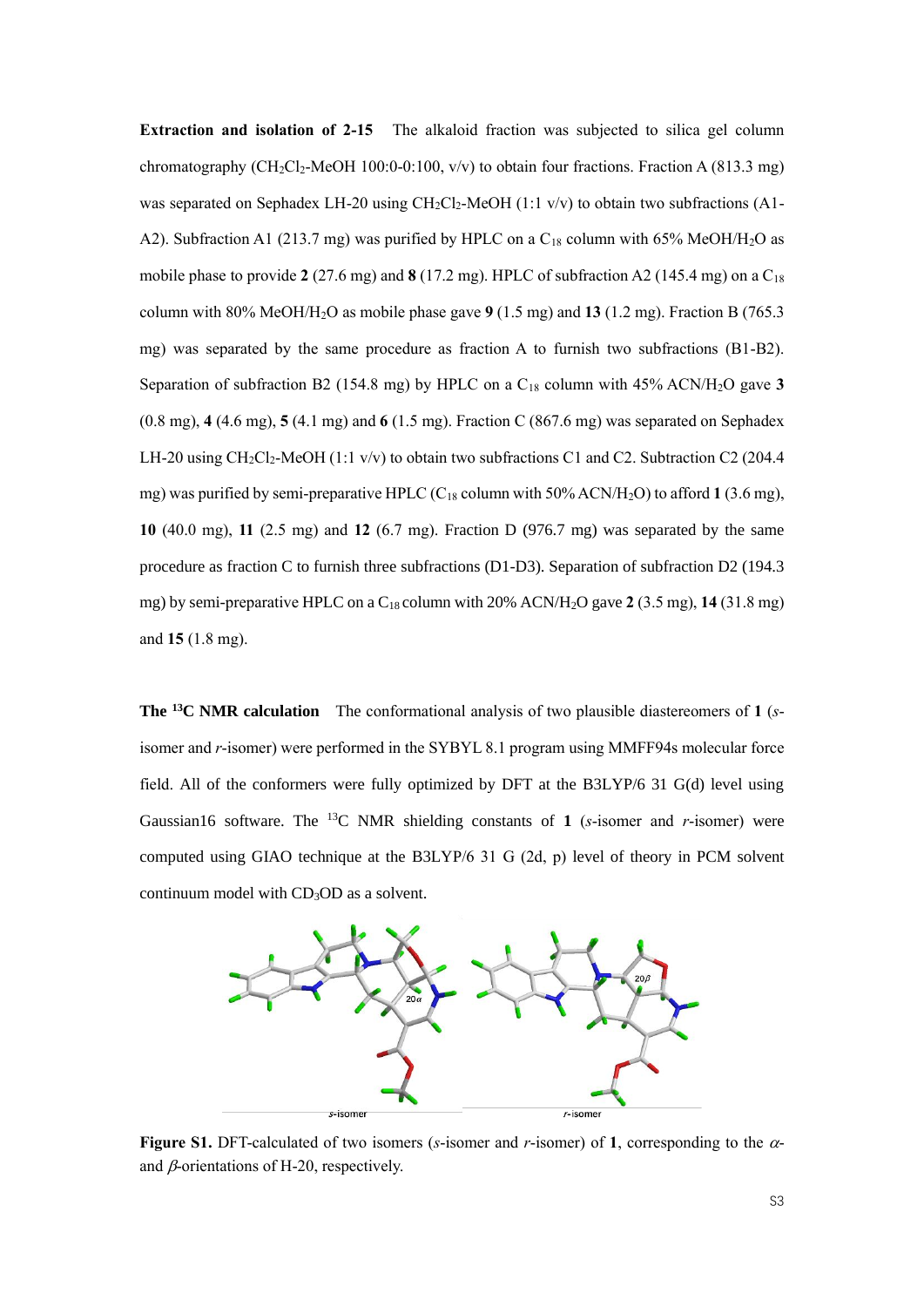**Extraction and isolation of 2-15** The alkaloid fraction was subjected to silica gel column chromatography (CH<sub>2</sub>Cl<sub>2</sub>-MeOH 100:0-0:100, v/v) to obtain four fractions. Fraction A (813.3 mg) was separated on Sephadex LH-20 using  $CH_2Cl_2$ -MeOH (1:1 v/v) to obtain two subfractions (A1-A2). Subfraction A1 (213.7 mg) was purified by HPLC on a C<sub>18</sub> column with 65% MeOH/H<sub>2</sub>O as mobile phase to provide 2 (27.6 mg) and 8 (17.2 mg). HPLC of subfraction A2 (145.4 mg) on a C<sub>18</sub> column with 80% MeOH/H2O as mobile phase gave **9** (1.5 mg) and **13** (1.2 mg). Fraction B (765.3 mg) was separated by the same procedure as fraction A to furnish two subfractions (B1-B2). Separation of subfraction B2 (154.8 mg) by HPLC on a C<sup>18</sup> column with 45% ACN/H2O gave **3** (0.8 mg), **4** (4.6 mg), **5** (4.1 mg) and **6** (1.5 mg). Fraction C (867.6 mg) was separated on Sephadex LH-20 using  $CH_2Cl_2$ -MeOH (1:1 v/v) to obtain two subfractions C1 and C2. Subtraction C2 (204.4) mg) was purified by semi-preparative HPLC (C<sup>18</sup> column with 50% ACN/H2O) to afford **1** (3.6 mg), **10** (40.0 mg), **11** (2.5 mg) and **12** (6.7 mg). Fraction D (976.7 mg) was separated by the same procedure as fraction C to furnish three subfractions (D1-D3). Separation of subfraction D2 (194.3 mg) by semi-preparative HPLC on a C18 column with 20% ACN/H2O gave **2** (3.5 mg), **14** (31.8 mg) and **15** (1.8 mg).

**The <sup>13</sup>C NMR calculation** The conformational analysis of two plausible diastereomers of **1** (*s*isomer and *r*-isomer) were performed in the SYBYL 8.1 program using MMFF94s molecular force field. All of the conformers were fully optimized by DFT at the B3LYP/6 31 G(d) level using Gaussian16 software. The <sup>13</sup>C NMR shielding constants of 1 ( $s$ -isomer and  $r$ -isomer) were computed using GIAO technique at the B3LYP/6 31 G (2d, p) level of theory in PCM solvent continuum model with CD<sub>3</sub>OD as a solvent.



**Figure S1.** DFT-calculated of two isomers (*s*-isomer and *r*-isomer) of 1, corresponding to the  $\alpha$ and  $\beta$ -orientations of H-20, respectively.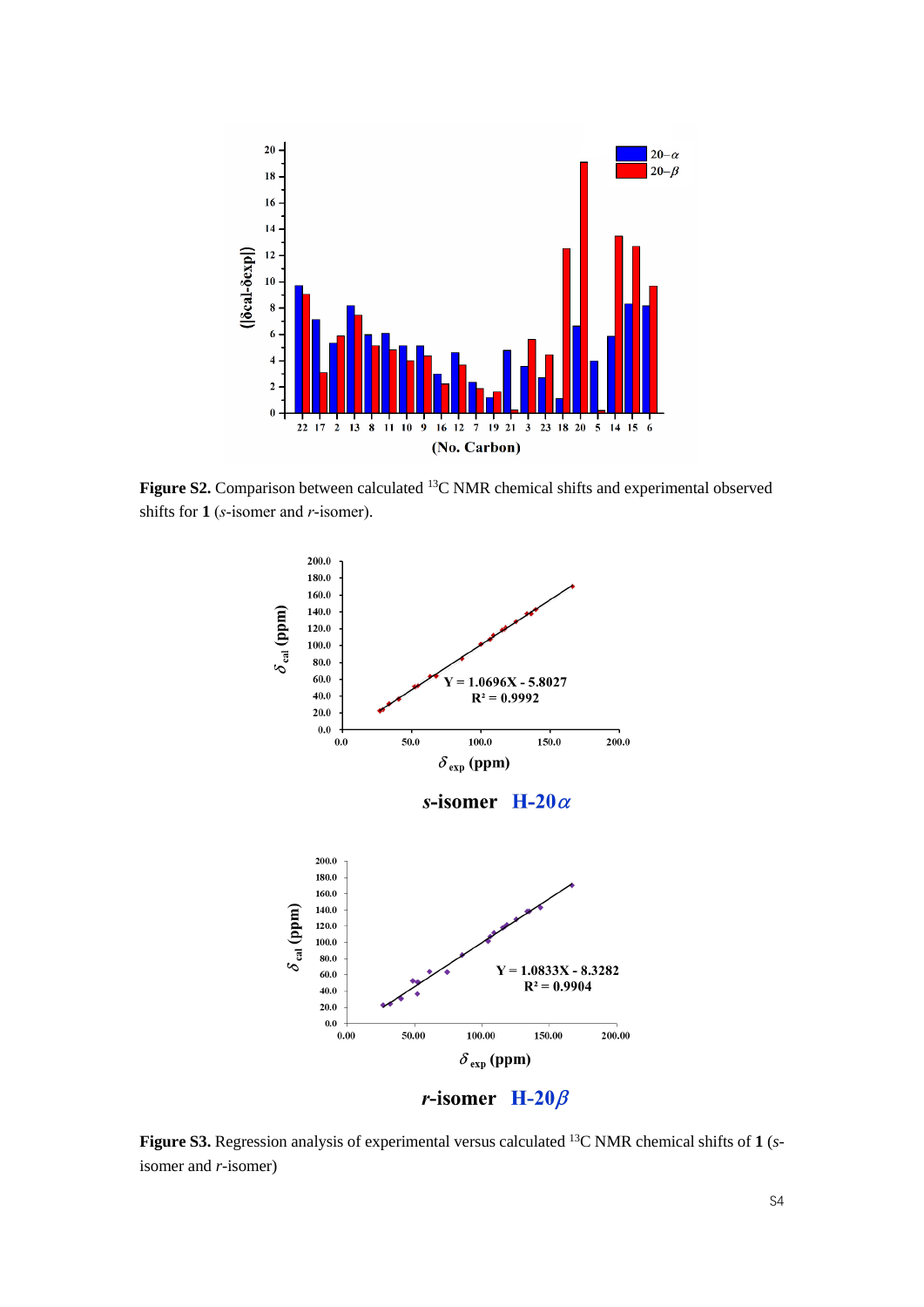

Figure S2. Comparison between calculated <sup>13</sup>C NMR chemical shifts and experimental observed shifts for **1** (*s*-isomer and *r*-isomer).



**Figure S3.** Regression analysis of experimental versus calculated <sup>13</sup>C NMR chemical shifts of **1** (*s*isomer and *r*-isomer)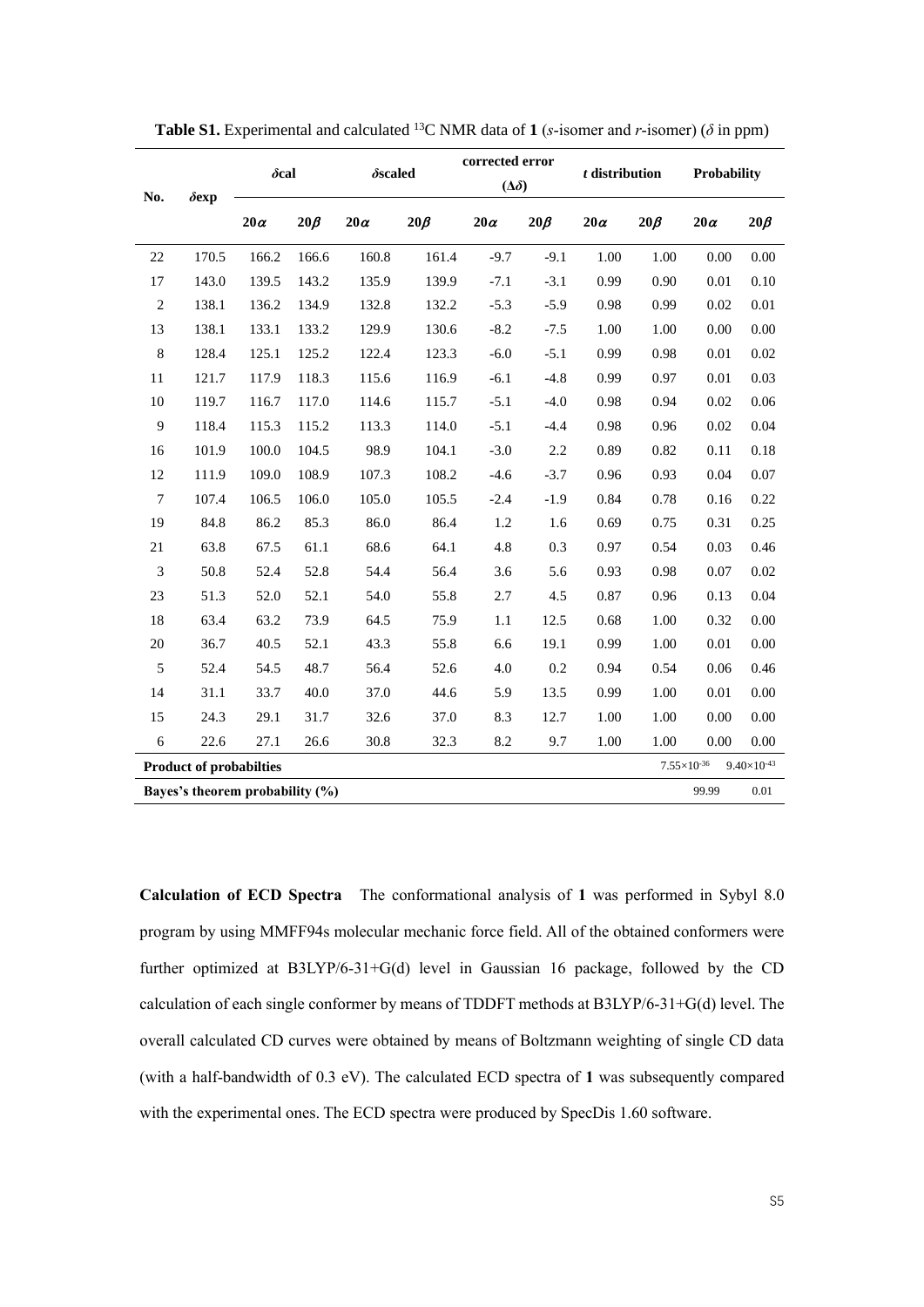| No.                                                                                   | $\delta$ exp | $\delta$ cal |           | $\delta$ scaled |           | corrected error<br>$(\Delta \delta)$ |           | $t$ distribution |           | Probability |           |
|---------------------------------------------------------------------------------------|--------------|--------------|-----------|-----------------|-----------|--------------------------------------|-----------|------------------|-----------|-------------|-----------|
|                                                                                       |              | $20\alpha$   | $20\beta$ | $20\alpha$      | $20\beta$ | $20\alpha$                           | $20\beta$ | $20\alpha$       | $20\beta$ | $20\alpha$  | $20\beta$ |
| 22                                                                                    | 170.5        | 166.2        | 166.6     | 160.8           | 161.4     | $-9.7$                               | $-9.1$    | 1.00             | 1.00      | 0.00        | 0.00      |
| 17                                                                                    | 143.0        | 139.5        | 143.2     | 135.9           | 139.9     | $-7.1$                               | $-3.1$    | 0.99             | 0.90      | 0.01        | 0.10      |
| $\sqrt{2}$                                                                            | 138.1        | 136.2        | 134.9     | 132.8           | 132.2     | $-5.3$                               | $-5.9$    | 0.98             | 0.99      | 0.02        | $0.01\,$  |
| 13                                                                                    | 138.1        | 133.1        | 133.2     | 129.9           | 130.6     | $-8.2$                               | $-7.5$    | 1.00             | 1.00      | 0.00        | 0.00      |
| $\,8\,$                                                                               | 128.4        | 125.1        | 125.2     | 122.4           | 123.3     | $-6.0$                               | $-5.1$    | 0.99             | 0.98      | 0.01        | 0.02      |
| 11                                                                                    | 121.7        | 117.9        | 118.3     | 115.6           | 116.9     | $-6.1$                               | $-4.8$    | 0.99             | 0.97      | 0.01        | 0.03      |
| $10\,$                                                                                | 119.7        | 116.7        | 117.0     | 114.6           | 115.7     | $-5.1$                               | $-4.0$    | 0.98             | 0.94      | 0.02        | 0.06      |
| $\overline{9}$                                                                        | 118.4        | 115.3        | 115.2     | 113.3           | 114.0     | $-5.1$                               | $-4.4$    | 0.98             | 0.96      | 0.02        | 0.04      |
| 16                                                                                    | 101.9        | 100.0        | 104.5     | 98.9            | 104.1     | $-3.0$                               | 2.2       | 0.89             | 0.82      | 0.11        | 0.18      |
| 12                                                                                    | 111.9        | 109.0        | 108.9     | 107.3           | 108.2     | $-4.6$                               | $-3.7$    | 0.96             | 0.93      | 0.04        | 0.07      |
| $\tau$                                                                                | 107.4        | 106.5        | 106.0     | 105.0           | 105.5     | $-2.4$                               | $-1.9$    | 0.84             | 0.78      | 0.16        | 0.22      |
| 19                                                                                    | 84.8         | 86.2         | 85.3      | 86.0            | 86.4      | 1.2                                  | 1.6       | 0.69             | 0.75      | 0.31        | 0.25      |
| 21                                                                                    | 63.8         | 67.5         | 61.1      | 68.6            | 64.1      | 4.8                                  | 0.3       | 0.97             | 0.54      | 0.03        | 0.46      |
| 3                                                                                     | 50.8         | 52.4         | 52.8      | 54.4            | 56.4      | 3.6                                  | 5.6       | 0.93             | 0.98      | 0.07        | 0.02      |
| 23                                                                                    | 51.3         | 52.0         | 52.1      | 54.0            | 55.8      | 2.7                                  | 4.5       | 0.87             | 0.96      | 0.13        | 0.04      |
| 18                                                                                    | 63.4         | 63.2         | 73.9      | 64.5            | 75.9      | 1.1                                  | 12.5      | 0.68             | 1.00      | 0.32        | 0.00      |
| 20                                                                                    | 36.7         | 40.5         | 52.1      | 43.3            | 55.8      | 6.6                                  | 19.1      | 0.99             | 1.00      | 0.01        | 0.00      |
| 5                                                                                     | 52.4         | 54.5         | 48.7      | 56.4            | 52.6      | 4.0                                  | 0.2       | 0.94             | 0.54      | 0.06        | 0.46      |
| 14                                                                                    | 31.1         | 33.7         | $40.0\,$  | 37.0            | 44.6      | 5.9                                  | 13.5      | 0.99             | 1.00      | 0.01        | 0.00      |
| 15                                                                                    | 24.3         | 29.1         | 31.7      | 32.6            | 37.0      | 8.3                                  | 12.7      | 1.00             | 1.00      | 0.00        | 0.00      |
| 6                                                                                     | 22.6         | 27.1         | 26.6      | 30.8            | 32.3      | 8.2                                  | 9.7       | 1.00             | 1.00      | 0.00        | 0.00      |
| $7.55\times10^{\text{-}36}$<br><b>Product of probabilties</b><br>$9.40\times10^{-43}$ |              |              |           |                 |           |                                      |           |                  |           |             |           |
| 99.99<br>Bayes's theorem probability (%)<br>0.01                                      |              |              |           |                 |           |                                      |           |                  |           |             |           |

**Table S1.** Experimental and calculated <sup>13</sup>C NMR data of **1** (*s*-isomer and *r*-isomer) ( $\delta$  in ppm)

**Calculation of ECD Spectra** The conformational analysis of **1** was performed in Sybyl 8.0 program by using MMFF94s molecular mechanic force field. All of the obtained conformers were further optimized at B3LYP/6-31+G(d) level in Gaussian 16 package, followed by the CD calculation of each single conformer by means of TDDFT methods at B3LYP/6-31+G(d) level. The overall calculated CD curves were obtained by means of Boltzmann weighting of single CD data (with a half-bandwidth of 0.3 eV). The calculated ECD spectra of **1** was subsequently compared with the experimental ones. The ECD spectra were produced by SpecDis 1.60 software.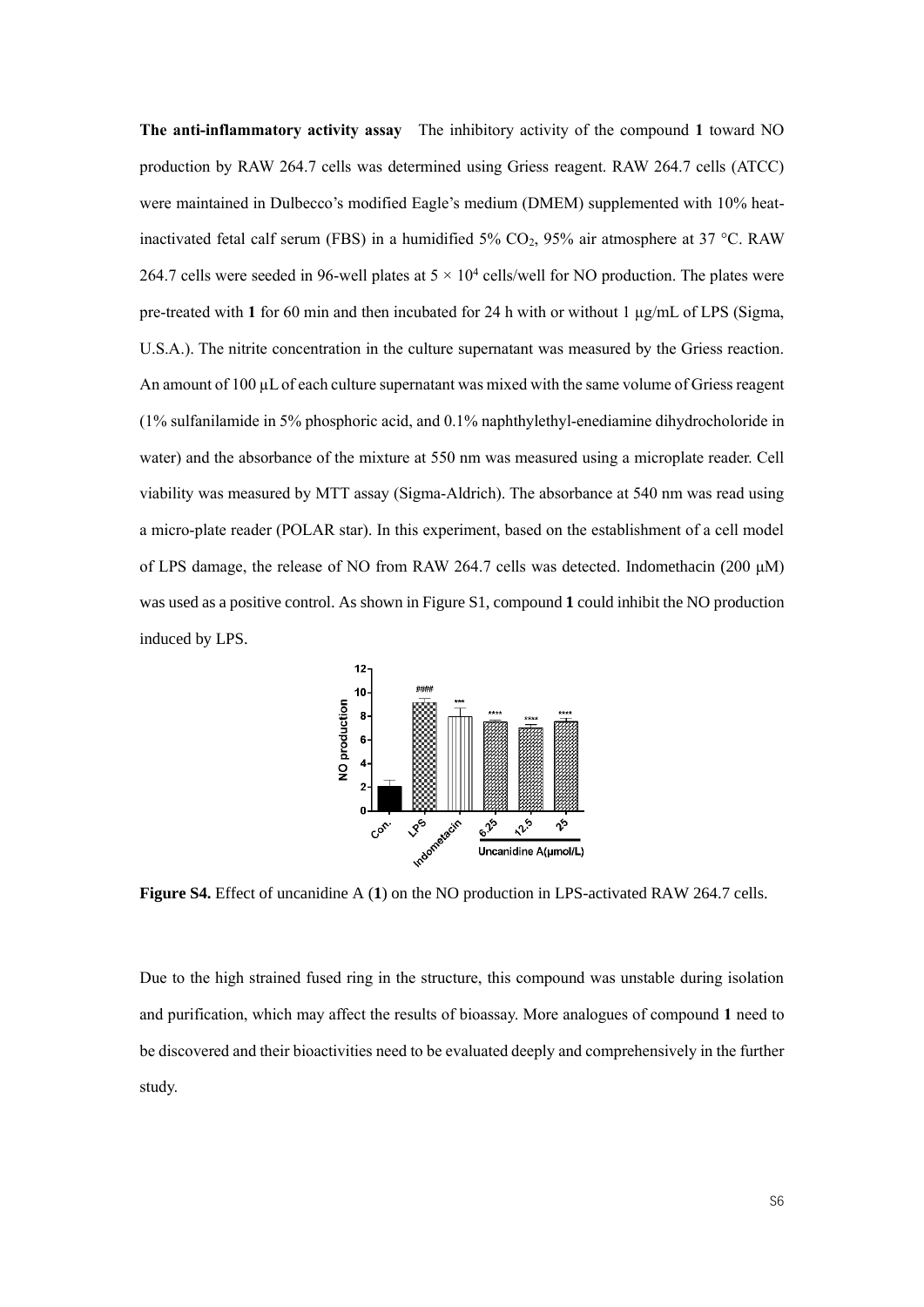**The anti-inflammatory activity assay** The inhibitory activity of the compound **1** toward NO production by RAW 264.7 cells was determined using Griess reagent. RAW 264.7 cells (ATCC) were maintained in Dulbecco's modified Eagle's medium (DMEM) supplemented with 10% heatinactivated fetal calf serum (FBS) in a humidified 5%  $CO<sub>2</sub>$ , 95% air atmosphere at 37 °C. RAW 264.7 cells were seeded in 96-well plates at  $5 \times 10^4$  cells/well for NO production. The plates were pre-treated with **1** for 60 min and then incubated for 24 h with or without 1 µg/mL of LPS (Sigma, U.S.A.). The nitrite concentration in the culture supernatant was measured by the Griess reaction. An amount of 100 µL of each culture supernatant was mixed with the same volume of Griess reagent (1% sulfanilamide in 5% phosphoric acid, and 0.1% naphthylethyl-enediamine dihydrocholoride in water) and the absorbance of the mixture at 550 nm was measured using a microplate reader. Cell viability was measured by MTT assay (Sigma-Aldrich). The absorbance at 540 nm was read using a micro-plate reader (POLAR star). In this experiment, based on the establishment of a cell model of LPS damage, the release of NO from RAW 264.7 cells was detected. Indomethacin (200 μM) was used as a positive control. As shown in Figure S1, compound **1** could inhibit the NO production induced by LPS.



**Figure S4.** Effect of uncanidine A (**1**) on the NO production in LPS-activated RAW 264.7 cells.

Due to the high strained fused ring in the structure, this compound was unstable during isolation and purification, which may affect the results of bioassay. More analogues of compound **1** need to be discovered and their bioactivities need to be evaluated deeply and comprehensively in the further study.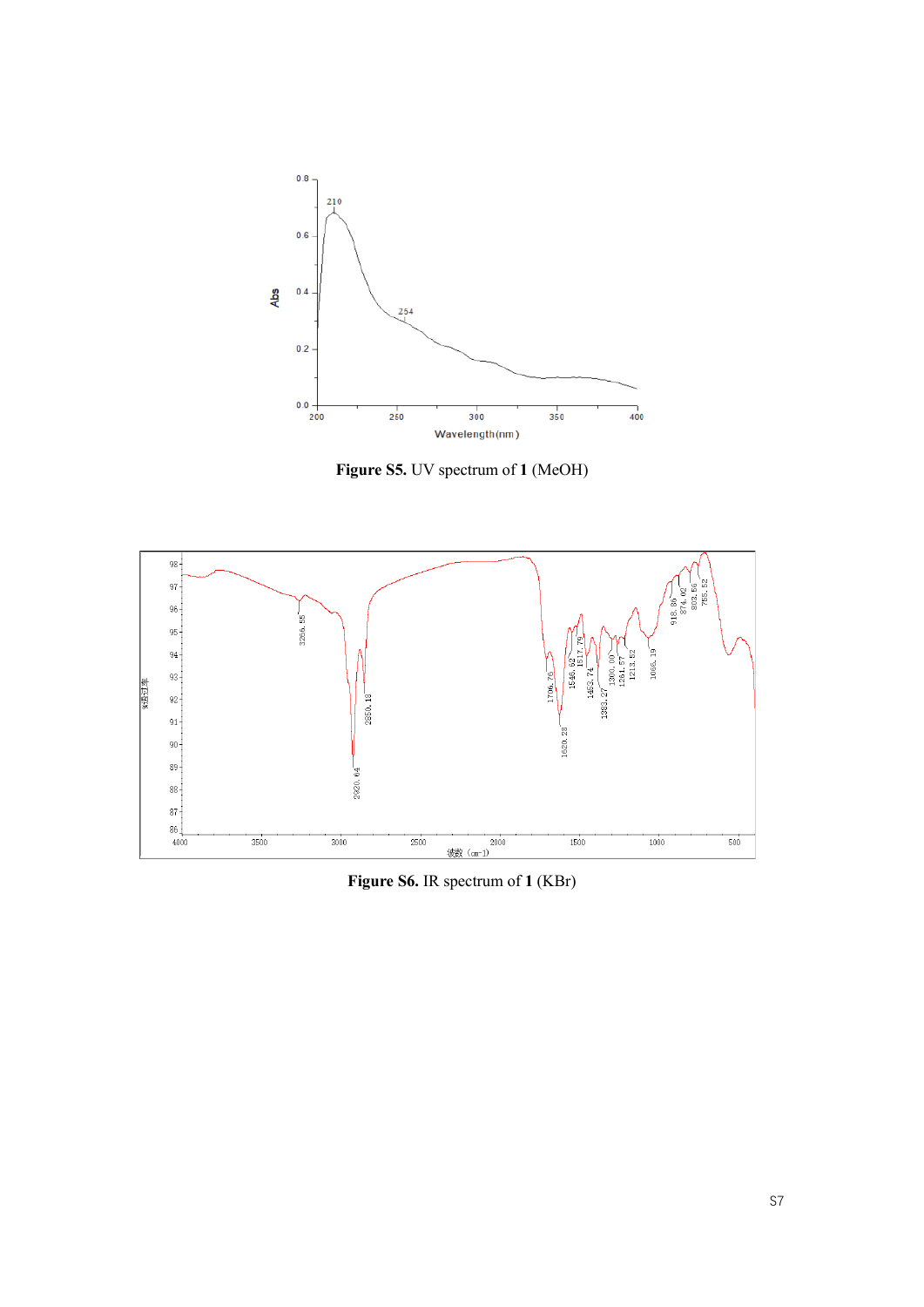

**Figure S5.** UV spectrum of **1** (MeOH)



**Figure S6.** IR spectrum of **1** (KBr)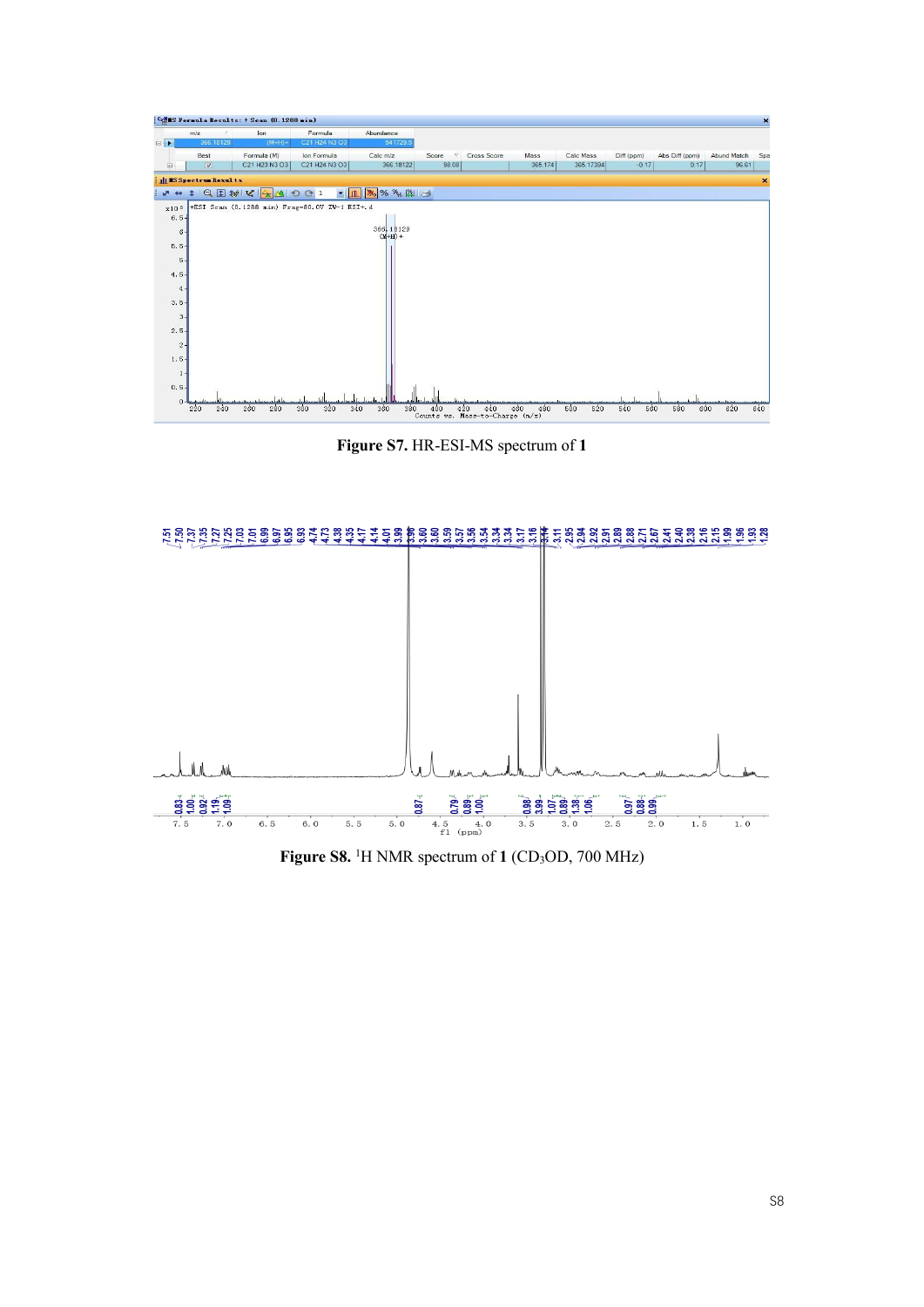

**Figure S7.** HR-ESI-MS spectrum of **1**



Figure S8.<sup>1</sup>H NMR spectrum of 1 (CD<sub>3</sub>OD, 700 MHz)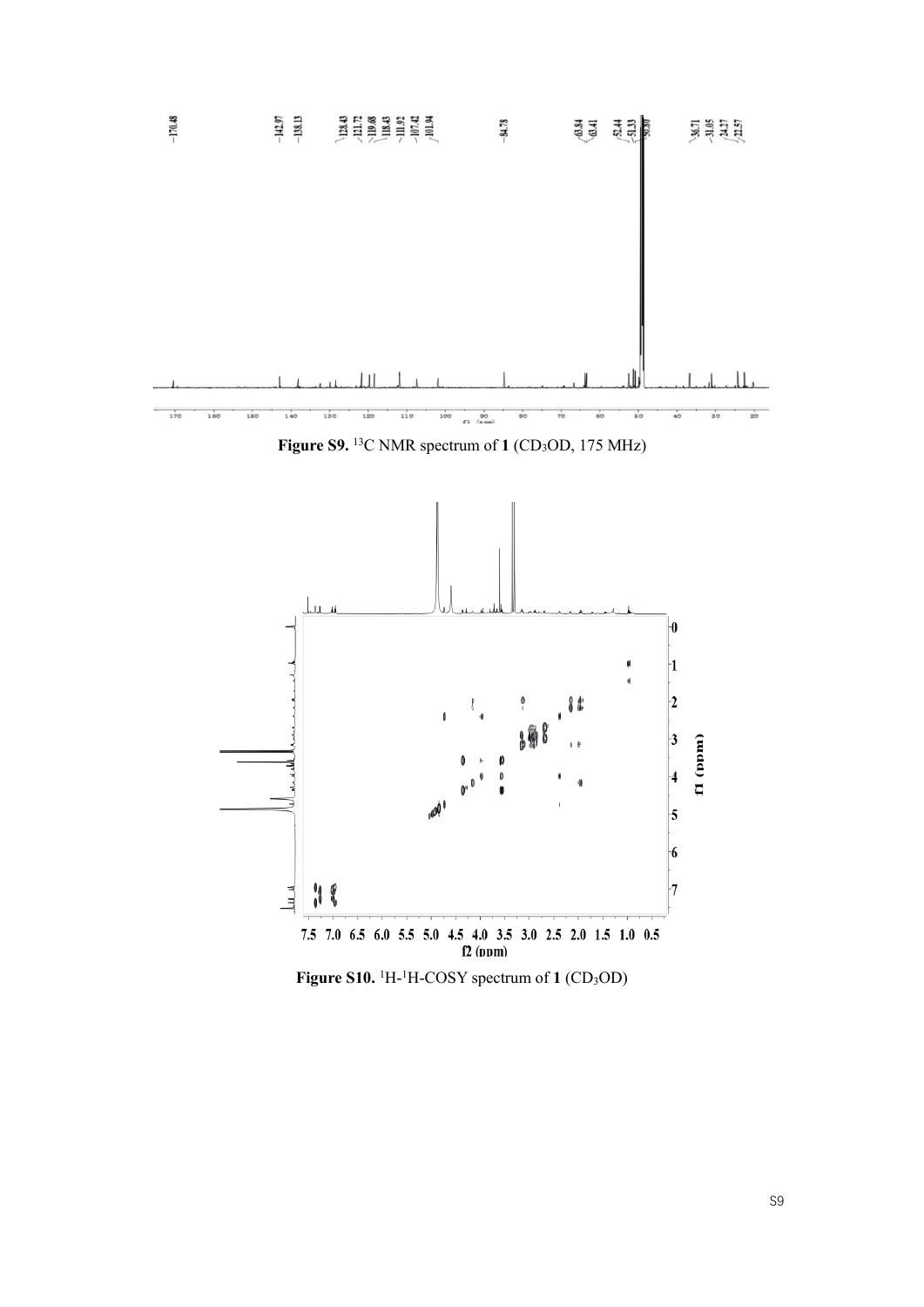

**Figure S9.** <sup>13</sup>C NMR spectrum of 1 (CD<sub>3</sub>OD, 175 MHz)



Figure S10. <sup>1</sup>H-<sup>1</sup>H-COSY spectrum of 1 (CD<sub>3</sub>OD)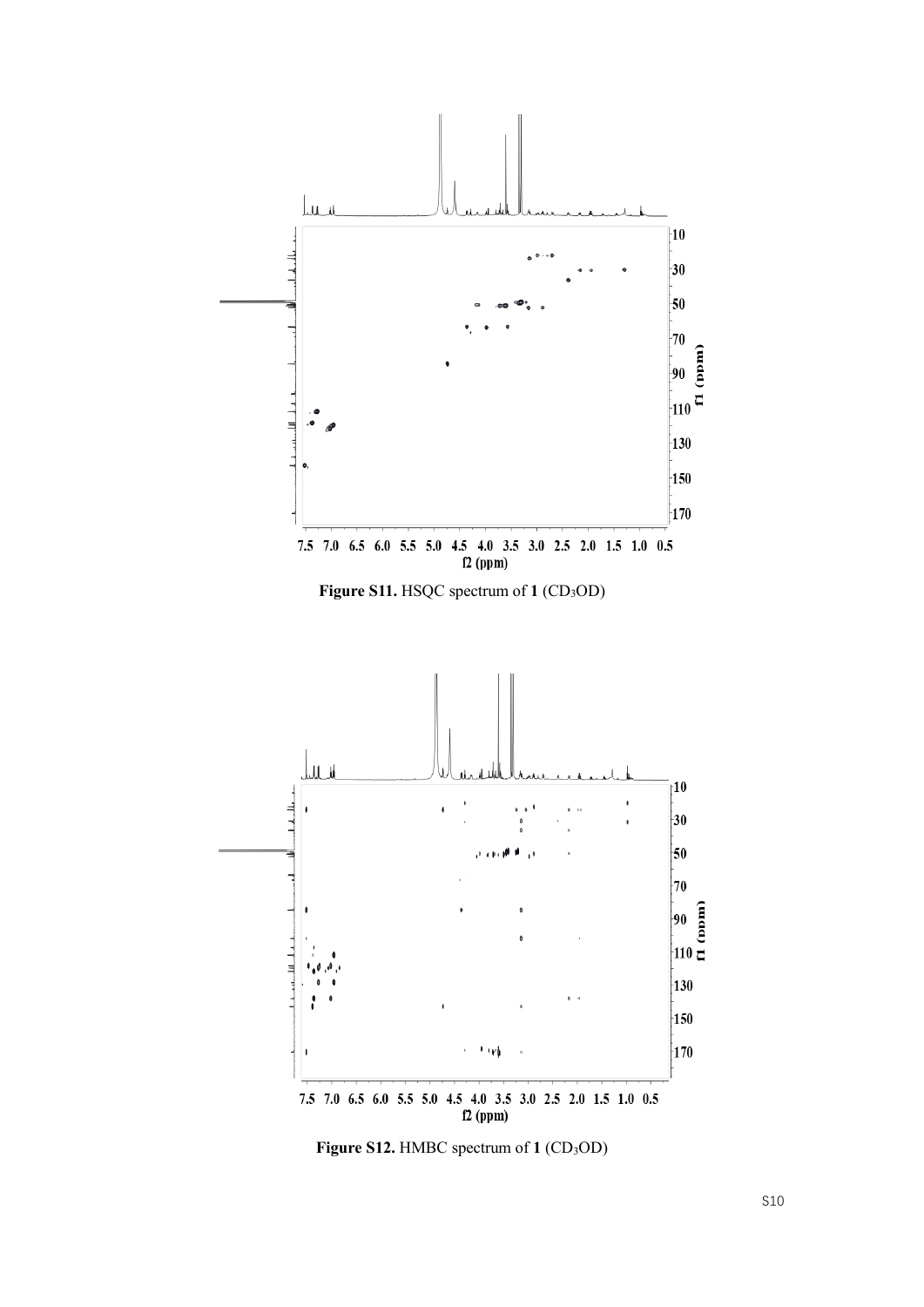

Figure S12. HMBC spectrum of 1 (CD<sub>3</sub>OD)